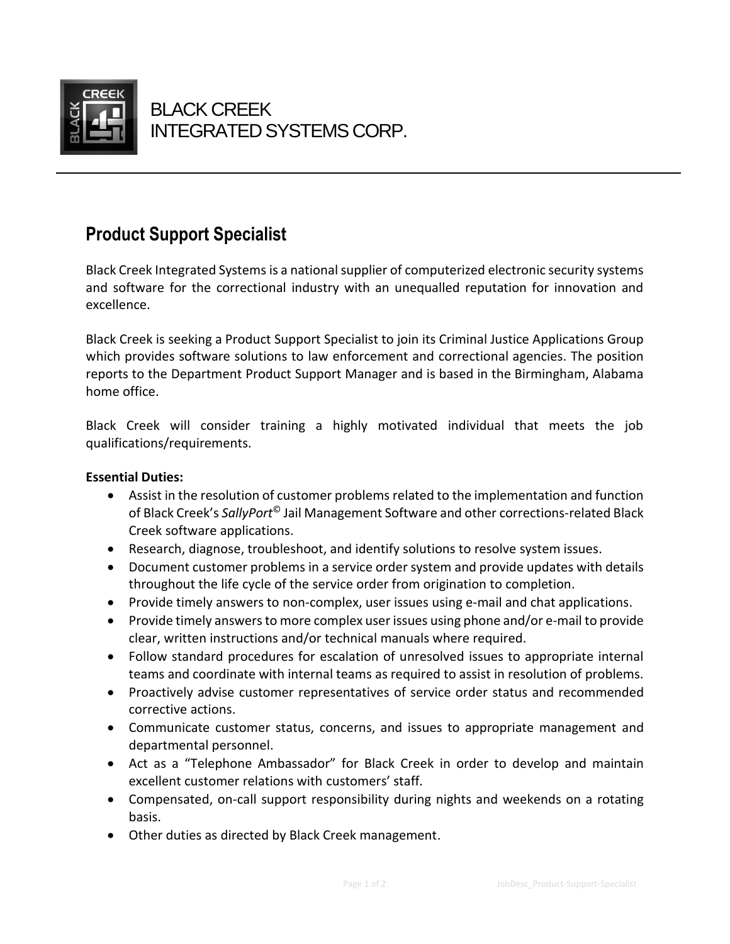

 $\overline{a}$ 

# **Product Support Specialist**

Black Creek Integrated Systems is a national supplier of computerized electronic security systems and software for the correctional industry with an unequalled reputation for innovation and excellence.

Black Creek is seeking a Product Support Specialist to join its Criminal Justice Applications Group which provides software solutions to law enforcement and correctional agencies. The position reports to the Department Product Support Manager and is based in the Birmingham, Alabama home office.

Black Creek will consider training a highly motivated individual that meets the job qualifications/requirements.

### **Essential Duties:**

- Assist in the resolution of customer problems related to the implementation and function of Black Creek's *SallyPort*© Jail Management Software and other corrections-related Black Creek software applications.
- Research, diagnose, troubleshoot, and identify solutions to resolve system issues.
- Document customer problems in a service order system and provide updates with details throughout the life cycle of the service order from origination to completion.
- Provide timely answers to non-complex, user issues using e-mail and chat applications.
- Provide timely answers to more complex user issues using phone and/or e-mail to provide clear, written instructions and/or technical manuals where required.
- Follow standard procedures for escalation of unresolved issues to appropriate internal teams and coordinate with internal teams as required to assist in resolution of problems.
- Proactively advise customer representatives of service order status and recommended corrective actions.
- Communicate customer status, concerns, and issues to appropriate management and departmental personnel.
- Act as a "Telephone Ambassador" for Black Creek in order to develop and maintain excellent customer relations with customers' staff.
- Compensated, on-call support responsibility during nights and weekends on a rotating basis.
- Other duties as directed by Black Creek management.